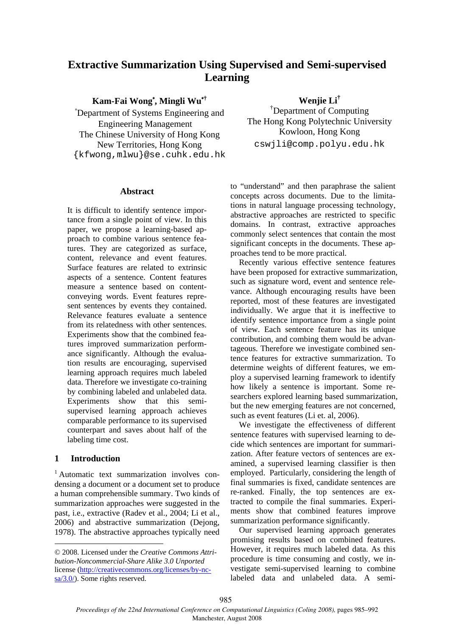# **Extractive Summarization Using Supervised and Semi-supervised Learning**

# **Kam-Fai Wong**\* **, Mingli Wu**\***†**

\* Department of Systems Engineering and Engineering Management The Chinese University of Hong Kong New Territories, Hong Kong {kfwong,mlwu}@se.cuhk.edu.hk

#### **Abstract**

It is difficult to identify sentence importance from a single point of view. In this paper, we propose a learning-based approach to combine various sentence features. They are categorized as surface, content, relevance and event features. Surface features are related to extrinsic aspects of a sentence. Content features measure a sentence based on contentconveying words. Event features represent sentences by events they contained. Relevance features evaluate a sentence from its relatedness with other sentences. Experiments show that the combined features improved summarization performance significantly. Although the evaluation results are encouraging, supervised learning approach requires much labeled data. Therefore we investigate co-training by combining labeled and unlabeled data. Experiments show that this semisupervised learning approach achieves comparable performance to its supervised counterpart and saves about half of the labeling time cost.

#### **1 Introduction**

<sup>1</sup> Automatic text summarization involves condensing a document or a document set to produce a human comprehensible summary. Two kinds of summarization approaches were suggested in the past, i.e., extractive (Radev et al., 2004; Li et al., 2006) and abstractive summarization (Dejong, 1978). The abstractive approaches typically need

**Wenjie Li†**

† Department of Computing The Hong Kong Polytechnic University Kowloon, Hong Kong cswjli@comp.polyu.edu.hk

to "understand" and then paraphrase the salient concepts across documents. Due to the limitations in natural language processing technology, abstractive approaches are restricted to specific domains. In contrast, extractive approaches commonly select sentences that contain the most significant concepts in the documents. These approaches tend to be more practical.

Recently various effective sentence features have been proposed for extractive summarization, such as signature word, event and sentence relevance. Although encouraging results have been reported, most of these features are investigated individually. We argue that it is ineffective to identify sentence importance from a single point of view. Each sentence feature has its unique contribution, and combing them would be advantageous. Therefore we investigate combined sentence features for extractive summarization. To determine weights of different features, we employ a supervised learning framework to identify how likely a sentence is important. Some researchers explored learning based summarization, but the new emerging features are not concerned, such as event features (Li et. al, 2006).

We investigate the effectiveness of different sentence features with supervised learning to decide which sentences are important for summarization. After feature vectors of sentences are examined, a supervised learning classifier is then employed. Particularly, considering the length of final summaries is fixed, candidate sentences are re-ranked. Finally, the top sentences are extracted to compile the final summaries. Experiments show that combined features improve summarization performance significantly.

Our supervised learning approach generates promising results based on combined features. However, it requires much labeled data. As this procedure is time consuming and costly, we investigate semi-supervised learning to combine labeled data and unlabeled data. A semi-

<sup>© 2008.</sup> Licensed under the *Creative Commons Attribution-Noncommercial-Share Alike 3.0 Unported* license (http://creativecommons.org/licenses/by-ncsa/3.0/). Some rights reserved.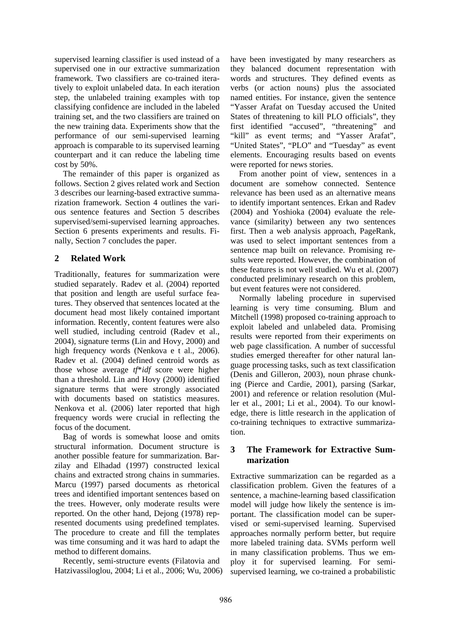supervised learning classifier is used instead of a supervised one in our extractive summarization framework. Two classifiers are co-trained iteratively to exploit unlabeled data. In each iteration step, the unlabeled training examples with top classifying confidence are included in the labeled training set, and the two classifiers are trained on the new training data. Experiments show that the performance of our semi-supervised learning approach is comparable to its supervised learning counterpart and it can reduce the labeling time cost by 50%.

The remainder of this paper is organized as follows. Section 2 gives related work and Section 3 describes our learning-based extractive summarization framework. Section 4 outlines the various sentence features and Section 5 describes supervised/semi-supervised learning approaches. Section 6 presents experiments and results. Finally, Section 7 concludes the paper.

# **2 Related Work**

Traditionally, features for summarization were studied separately. Radev et al. (2004) reported that position and length are useful surface features. They observed that sentences located at the document head most likely contained important information. Recently, content features were also well studied, including centroid (Radev et al., 2004), signature terms (Lin and Hovy, 2000) and high frequency words (Nenkova e t al., 2006). Radev et al. (2004) defined centroid words as those whose average *tf*\**idf* score were higher than a threshold. Lin and Hovy (2000) identified signature terms that were strongly associated with documents based on statistics measures. Nenkova et al. (2006) later reported that high frequency words were crucial in reflecting the focus of the document.

Bag of words is somewhat loose and omits structural information. Document structure is another possible feature for summarization. Barzilay and Elhadad (1997) constructed lexical chains and extracted strong chains in summaries. Marcu (1997) parsed documents as rhetorical trees and identified important sentences based on the trees. However, only moderate results were reported. On the other hand, Dejong (1978) represented documents using predefined templates. The procedure to create and fill the templates was time consuming and it was hard to adapt the method to different domains.

Recently, semi-structure events (Filatovia and Hatzivassiloglou, 2004; Li et al., 2006; Wu, 2006) have been investigated by many researchers as they balanced document representation with words and structures. They defined events as verbs (or action nouns) plus the associated named entities. For instance, given the sentence "Yasser Arafat on Tuesday accused the United States of threatening to kill PLO officials", they first identified "accused", "threatening" and "kill" as event terms; and "Yasser Arafat", "United States", "PLO" and "Tuesday" as event elements. Encouraging results based on events were reported for news stories.

From another point of view, sentences in a document are somehow connected. Sentence relevance has been used as an alternative means to identify important sentences. Erkan and Radev (2004) and Yoshioka (2004) evaluate the relevance (similarity) between any two sentences first. Then a web analysis approach, PageRank, was used to select important sentences from a sentence map built on relevance. Promising results were reported. However, the combination of these features is not well studied. Wu et al. (2007) conducted preliminary research on this problem, but event features were not considered.

Normally labeling procedure in supervised learning is very time consuming. Blum and Mitchell (1998) proposed co-training approach to exploit labeled and unlabeled data. Promising results were reported from their experiments on web page classification. A number of successful studies emerged thereafter for other natural language processing tasks, such as text classification (Denis and Gilleron, 2003), noun phrase chunking (Pierce and Cardie, 2001), parsing (Sarkar, 2001) and reference or relation resolution (Muller et al., 2001; Li et al., 2004). To our knowledge, there is little research in the application of co-training techniques to extractive summarization.

# **3 The Framework for Extractive Summarization**

Extractive summarization can be regarded as a classification problem. Given the features of a sentence, a machine-learning based classification model will judge how likely the sentence is important. The classification model can be supervised or semi-supervised learning. Supervised approaches normally perform better, but require more labeled training data. SVMs perform well in many classification problems. Thus we employ it for supervised learning. For semisupervised learning, we co-trained a probabilistic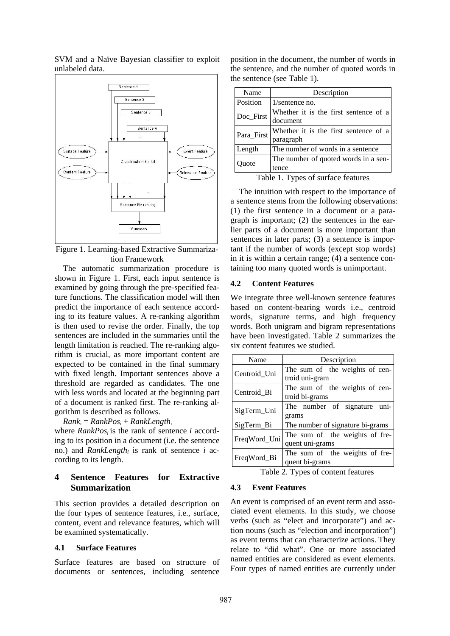

SVM and a Naïve Bayesian classifier to exploit unlabeled data.

Figure 1. Learning-based Extractive Summarization Framework

The automatic summarization procedure is shown in Figure 1. First, each input sentence is examined by going through the pre-specified feature functions. The classification model will then predict the importance of each sentence according to its feature values. A re-ranking algorithm is then used to revise the order. Finally, the top sentences are included in the summaries until the length limitation is reached. The re-ranking algorithm is crucial, as more important content are expected to be contained in the final summary with fixed length. Important sentences above a threshold are regarded as candidates. The one with less words and located at the beginning part of a document is ranked first. The re-ranking algorithm is described as follows.

 $Rank_i = RankPos_i + RankLength_i$ 

where *RankPos<sub>i</sub>* is the rank of sentence *i* according to its position in a document (i.e. the sentence no.) and *RankLength<sub>i</sub>* is rank of sentence *i* according to its length.

# **4 Sentence Features for Extractive Summarization**

This section provides a detailed description on the four types of sentence features, i.e., surface, content, event and relevance features, which will be examined systematically.

#### **4.1 Surface Features**

Surface features are based on structure of documents or sentences, including sentence position in the document, the number of words in the sentence, and the number of quoted words in the sentence (see Table 1).

| Name       | Description                           |  |
|------------|---------------------------------------|--|
| Position   | $1$ /sentence no.                     |  |
| Doc_First  | Whether it is the first sentence of a |  |
|            | document                              |  |
| Para_First | Whether it is the first sentence of a |  |
|            | paragraph                             |  |
| Length     | The number of words in a sentence     |  |
| Quote      | The number of quoted words in a sen-  |  |
|            | tence                                 |  |
|            | m 11 1 m c c c c                      |  |

Table 1. Types of surface features

The intuition with respect to the importance of a sentence stems from the following observations: (1) the first sentence in a document or a paragraph is important; (2) the sentences in the earlier parts of a document is more important than sentences in later parts; (3) a sentence is important if the number of words (except stop words) in it is within a certain range; (4) a sentence containing too many quoted words is unimportant.

#### **4.2 Content Features**

We integrate three well-known sentence features based on content-bearing words i.e., centroid words, signature terms, and high frequency words. Both unigram and bigram representations have been investigated. Table 2 summarizes the six content features we studied.

| Name         | Description                                       |  |  |  |
|--------------|---------------------------------------------------|--|--|--|
| Centroid_Uni | The sum of the weights of cen-<br>troid uni-gram  |  |  |  |
| Centroid Bi  | The sum of the weights of cen-<br>troid bi-grams  |  |  |  |
| SigTerm_Uni  | The number of signature uni-<br>grams             |  |  |  |
| SigTerm_Bi   | The number of signature bi-grams                  |  |  |  |
| FreqWord_Uni | The sum of the weights of fre-<br>quent uni-grams |  |  |  |
| FreqWord_Bi  | The sum of the weights of fre-<br>quent bi-grams  |  |  |  |

Table 2. Types of content features

#### **4.3 Event Features**

An event is comprised of an event term and associated event elements. In this study, we choose verbs (such as "elect and incorporate") and action nouns (such as "election and incorporation") as event terms that can characterize actions. They relate to "did what". One or more associated named entities are considered as event elements. Four types of named entities are currently under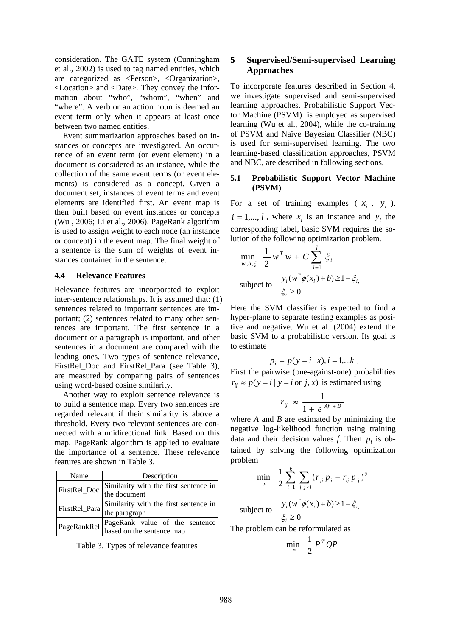consideration. The GATE system (Cunningham et al., 2002) is used to tag named entities, which are categorized as <Person>, <Organization>, <Location> and <Date>. They convey the information about "who", "whom", "when" and "where". A verb or an action noun is deemed an event term only when it appears at least once between two named entities.

Event summarization approaches based on instances or concepts are investigated. An occurrence of an event term (or event element) in a document is considered as an instance, while the collection of the same event terms (or event elements) is considered as a concept. Given a document set, instances of event terms and event elements are identified first. An event map is then built based on event instances or concepts (Wu , 2006; Li et al., 2006). PageRank algorithm is used to assign weight to each node (an instance or concept) in the event map. The final weight of a sentence is the sum of weights of event instances contained in the sentence.

#### **4.4 Relevance Features**

Relevance features are incorporated to exploit inter-sentence relationships. It is assumed that: (1) sentences related to important sentences are important; (2) sentences related to many other sentences are important. The first sentence in a document or a paragraph is important, and other sentences in a document are compared with the leading ones. Two types of sentence relevance, FirstRel\_Doc and FirstRel\_Para (see Table 3), are measured by comparing pairs of sentences using word-based cosine similarity.

Another way to exploit sentence relevance is to build a sentence map. Every two sentences are regarded relevant if their similarity is above a threshold. Every two relevant sentences are connected with a unidirectional link. Based on this map, PageRank algorithm is applied to evaluate the importance of a sentence. These relevance features are shown in Table 3.

| Name          | Description                                                 |  |  |
|---------------|-------------------------------------------------------------|--|--|
| FirstRel_Doc  | Similarity with the first sentence in<br>the document       |  |  |
| FirstRel_Para | Similarity with the first sentence in<br>the paragraph      |  |  |
| PageRankRel   | PageRank value of the sentence<br>based on the sentence map |  |  |

Table 3. Types of relevance features

### **5 Supervised/Semi-supervised Learning Approaches**

To incorporate features described in Section 4, we investigate supervised and semi-supervised learning approaches. Probabilistic Support Vector Machine (PSVM) is employed as supervised learning (Wu et al., 2004), while the co-training of PSVM and Naïve Bayesian Classifier (NBC) is used for semi-supervised learning. The two learning-based classification approaches, PSVM and NBC, are described in following sections.

#### **5.1 Probabilistic Support Vector Machine (PSVM)**

For a set of training examples ( $x_i$ ,  $y_i$ ),  $i = 1, \dots, l$ , where  $x_i$  is an instance and  $y_i$  the corresponding label, basic SVM requires the solution of the following optimization problem.

$$
\min_{w,b,\xi} \frac{1}{2} w^T w + C \sum_{i=1}^l \xi_i
$$
  
subject to 
$$
y_i(w^T \phi(x_i) + b) \ge 1 - \xi_i
$$

$$
\xi_i \ge 0
$$

Here the SVM classifier is expected to find a hyper-plane to separate testing examples as positive and negative. Wu et al. (2004) extend the basic SVM to a probabilistic version. Its goal is to estimate

$$
p_i = p(y = i | x), i = 1,...k.
$$

First the pairwise (one-against-one) probabilities  $r_{ij} \approx p(y = i | y = i \text{ or } j, x)$  is estimated using

$$
r_{ij} \approx \frac{1}{1 + e^{Af + B}}
$$

where *A* and *B* are estimated by minimizing the negative log-likelihood function using training data and their decision values  $f$ . Then  $p_i$  is obtained by solving the following optimization problem

$$
\min_{p} \ \ \frac{1}{2} \sum_{i=1}^{k} \sum_{j:j \neq i} (r_{ji} \, p_i - r_{ij} \, p_j)^2
$$

subject to 
$$
y_i(w^T \phi(x_i) + b) \ge 1 - \xi_{i, \xi}
$$

$$
\xi_i \ge 0
$$

The problem can be reformulated as

$$
\min_{P} \quad \frac{1}{2} P^T Q P
$$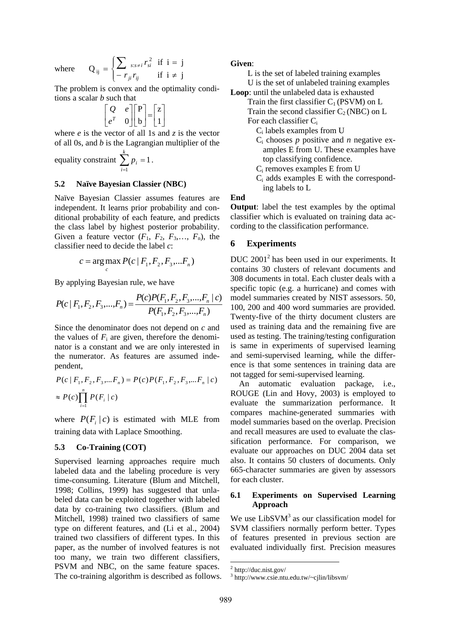where

$$
Q_{ij} = \begin{cases} \sum_{s:s\neq i} r_{si}^2 & \text{if } i = j \\ -r_{ji}r_{ij} & \text{if } i \neq j \end{cases}
$$

The problem is convex and the optimality conditions a scalar *b* such that

$$
\begin{bmatrix} Q & e \\ e^T & 0 \end{bmatrix} \begin{bmatrix} P \\ b \end{bmatrix} = \begin{bmatrix} z \\ 1 \end{bmatrix}
$$

where *e* is the vector of all 1s and *z* is the vector of all 0s, and *b* is the Lagrangian multiplier of the

equality constraint  $\sum_{i=1}^{\infty} p_i =$ *k i pi* 1 1.

#### **5.2 Naïve Bayesian Classier (NBC)**

Naïve Bayesian Classier assumes features are independent. It learns prior probability and conditional probability of each feature, and predicts the class label by highest posterior probability. Given a feature vector  $(F_1, F_2, F_3, \ldots, F_n)$ , the classifier need to decide the label *c*:

$$
c = \arg \max_{c} P(c \mid F_1, F_2, F_3, ... F_n)
$$

By applying Bayesian rule, we have

$$
P(c | F_1, F_2, F_3, \dots, F_n) = \frac{P(c)P(F_1, F_2, F_3, \dots, F_n | c)}{P(F_1, F_2, F_3, \dots, F_n)}
$$

Since the denominator does not depend on *c* and the values of  $F_i$  are given, therefore the denominator is a constant and we are only interested in the numerator. As features are assumed independent,

$$
P(c | F_1, F_2, F_3, \dots F_n) = P(c)P(F_1, F_2, F_3, \dots F_n | c)
$$
  
\n
$$
\approx P(c) \prod_{i=1}^n P(F_i | c)
$$

where  $P(F_i | c)$  is estimated with MLE from training data with Laplace Smoothing.

#### **5.3 Co-Training (COT)**

Supervised learning approaches require much labeled data and the labeling procedure is very time-consuming. Literature (Blum and Mitchell, 1998; Collins, 1999) has suggested that unlabeled data can be exploited together with labeled data by co-training two classifiers. (Blum and Mitchell, 1998) trained two classifiers of same type on different features, and (Li et al., 2004) trained two classifiers of different types. In this paper, as the number of involved features is not too many, we train two different classifiers, PSVM and NBC, on the same feature spaces. The co-training algorithm is described as follows.

#### **Given**:

L is the set of labeled training examples U is the set of unlabeled training examples

**Loop**: until the unlabeled data is exhausted

Train the first classifier  $C_1$  (PSVM) on L Train the second classifier  $C_2(NBC)$  on L

For each classifier Ci

- Ci labels examples from U
- Ci chooses *p* positive and *n* negative examples E from U. These examples have top classifying confidence.
- Ci removes examples E from U
- Ci adds examples E with the corresponding labels to L

**End** 

**Output**: label the test examples by the optimal classifier which is evaluated on training data according to the classification performance.

#### **6 Experiments**

DUC 2001<sup>2</sup> has been used in our experiments. It contains 30 clusters of relevant documents and 308 documents in total. Each cluster deals with a specific topic (e.g. a hurricane) and comes with model summaries created by NIST assessors. 50, 100, 200 and 400 word summaries are provided. Twenty-five of the thirty document clusters are used as training data and the remaining five are used as testing. The training/testing configuration is same in experiments of supervised learning and semi-supervised learning, while the difference is that some sentences in training data are not tagged for semi-supervised learning.

An automatic evaluation package, i.e., ROUGE (Lin and Hovy, 2003) is employed to evaluate the summarization performance. It compares machine-generated summaries with model summaries based on the overlap. Precision and recall measures are used to evaluate the classification performance. For comparison, we evaluate our approaches on DUC 2004 data set also. It contains 50 clusters of documents. Only 665-character summaries are given by assessors for each cluster.

#### **6.1 Experiments on Supervised Learning Approach**

We use  $LibSVM<sup>3</sup>$  as our classification model for SVM classifiers normally perform better. Types of features presented in previous section are evaluated individually first. Precision measures

 $2$  http://duc.nist.gov/

<sup>3</sup> http://www.csie.ntu.edu.tw/~cjlin/libsvm/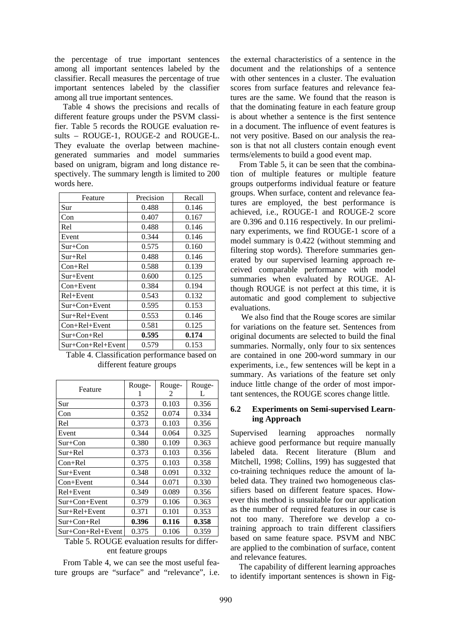the percentage of true important sentences among all important sentences labeled by the classifier. Recall measures the percentage of true important sentences labeled by the classifier among all true important sentences.

Table 4 shows the precisions and recalls of different feature groups under the PSVM classifier. Table 5 records the ROUGE evaluation results – ROUGE-1, ROUGE-2 and ROUGE-L. They evaluate the overlap between machinegenerated summaries and model summaries based on unigram, bigram and long distance respectively. The summary length is limited to 200 words here.

| Feature             | Precision | Recall |
|---------------------|-----------|--------|
|                     |           |        |
| Sur                 | 0.488     | 0.146  |
| Con                 | 0.407     | 0.167  |
| Rel                 | 0.488     | 0.146  |
| Event               | 0.344     | 0.146  |
| $Sur + Con$         | 0.575     | 0.160  |
| Sur+Rel             | 0.488     | 0.146  |
| $Con+Rel$           | 0.588     | 0.139  |
| Sur+Event           | 0.600     | 0.125  |
| $Con+Event$         | 0.384     | 0.194  |
| Rel+Event           | 0.543     | 0.132  |
| $Sur + Con + Event$ | 0.595     | 0.153  |
| Sur+Rel+Event       | 0.553     | 0.146  |
| $Con+Rel+Event$     | 0.581     | 0.125  |
| $Sur + Con + Rel$   | 0.595     | 0.174  |
| Sur+Con+Rel+Event   | 0.579     | 0.153  |

Table 4. Classification performance based on different feature groups

|                           | Rouge- | Rouge-         | Rouge- |
|---------------------------|--------|----------------|--------|
| Feature                   |        | $\mathfrak{D}$ | L      |
| Sur                       | 0.373  | 0.103          | 0.356  |
| Con                       | 0.352  | 0.074          | 0.334  |
| Rel                       | 0.373  | 0.103          | 0.356  |
| Event                     | 0.344  | 0.064          | 0.325  |
| $Sur + Con$               | 0.380  | 0.109          | 0.363  |
| $Sur+Rel$                 | 0.373  | 0.103          | 0.356  |
| $Con+Rel$                 | 0.375  | 0.103          | 0.358  |
| $Sur + Event$             | 0.348  | 0.091          | 0.332  |
| $Con+Event$               | 0.344  | 0.071          | 0.330  |
| Rel+Event                 | 0.349  | 0.089          | 0.356  |
| $Sur + Con + Event$       | 0.379  | 0.106          | 0.363  |
| $Sur+Rel+Event$           | 0.371  | 0.101          | 0.353  |
| Sur+Con+Rel               | 0.396  | 0.116          | 0.358  |
| $Sur + Con + Rel + Event$ | 0.375  | 0.106          | 0.359  |

# Table 5. ROUGE evaluation results for different feature groups

From Table 4, we can see the most useful feature groups are "surface" and "relevance", i.e. the external characteristics of a sentence in the document and the relationships of a sentence with other sentences in a cluster. The evaluation scores from surface features and relevance features are the same. We found that the reason is that the dominating feature in each feature group is about whether a sentence is the first sentence in a document. The influence of event features is not very positive. Based on our analysis the reason is that not all clusters contain enough event terms/elements to build a good event map.

From Table 5, it can be seen that the combination of multiple features or multiple feature groups outperforms individual feature or feature groups. When surface, content and relevance features are employed, the best performance is achieved, i.e., ROUGE-1 and ROUGE-2 score are 0.396 and 0.116 respectively. In our preliminary experiments, we find ROUGE-1 score of a model summary is 0.422 (without stemming and filtering stop words). Therefore summaries generated by our supervised learning approach received comparable performance with model summaries when evaluated by ROUGE. Although ROUGE is not perfect at this time, it is automatic and good complement to subjective evaluations.

 We also find that the Rouge scores are similar for variations on the feature set. Sentences from original documents are selected to build the final summaries. Normally, only four to six sentences are contained in one 200-word summary in our experiments, i.e., few sentences will be kept in a summary. As variations of the feature set only induce little change of the order of most important sentences, the ROUGE scores change little.

#### **6.2 Experiments on Semi-supervised Learning Approach**

Supervised learning approaches normally achieve good performance but require manually labeled data. Recent literature (Blum and Mitchell, 1998; Collins, 199) has suggested that co-training techniques reduce the amount of labeled data. They trained two homogeneous classifiers based on different feature spaces. However this method is unsuitable for our application as the number of required features in our case is not too many. Therefore we develop a cotraining approach to train different classifiers based on same feature space. PSVM and NBC are applied to the combination of surface, content and relevance features.

The capability of different learning approaches to identify important sentences is shown in Fig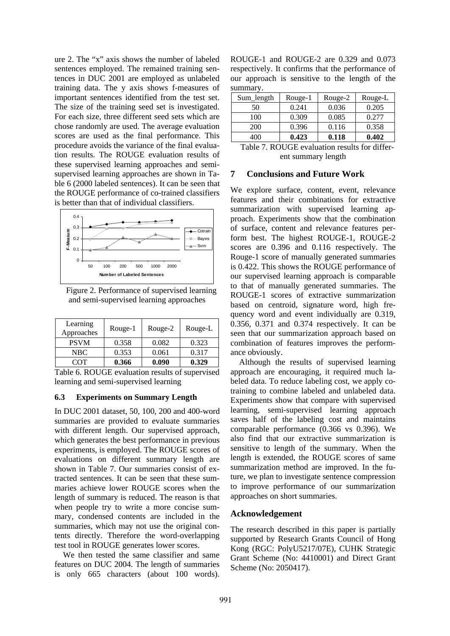ure 2. The "x" axis shows the number of labeled sentences employed. The remained training sentences in DUC 2001 are employed as unlabeled training data. The y axis shows f-measures of important sentences identified from the test set. The size of the training seed set is investigated. For each size, three different seed sets which are chose randomly are used. The average evaluation scores are used as the final performance. This procedure avoids the variance of the final evaluation results. The ROUGE evaluation results of these supervised learning approaches and semisupervised learning approaches are shown in Table 6 (2000 labeled sentences). It can be seen that the ROUGE performance of co-trained classifiers is better than that of individual classifiers.



Figure 2. Performance of supervised learning and semi-supervised learning approaches

| Learning<br>Approaches | Rouge-1 | Rouge-2 | Rouge-L |
|------------------------|---------|---------|---------|
| <b>PSVM</b>            | 0.358   | 0.082   | 0.323   |
| NBC.                   | 0.353   | 0.061   | 0.317   |
| COT                    | 0.366   | 0.090   | 0.329   |

Table 6. ROUGE evaluation results of supervised learning and semi-supervised learning

#### **6.3 Experiments on Summary Length**

In DUC 2001 dataset, 50, 100, 200 and 400-word summaries are provided to evaluate summaries with different length. Our supervised approach, which generates the best performance in previous experiments, is employed. The ROUGE scores of evaluations on different summary length are shown in Table 7. Our summaries consist of extracted sentences. It can be seen that these summaries achieve lower ROUGE scores when the length of summary is reduced. The reason is that when people try to write a more concise summary, condensed contents are included in the summaries, which may not use the original contents directly. Therefore the word-overlapping test tool in ROUGE generates lower scores.

We then tested the same classifier and same features on DUC 2004. The length of summaries is only 665 characters (about 100 words). ROUGE-1 and ROUGE-2 are 0.329 and 0.073 respectively. It confirms that the performance of our approach is sensitive to the length of the summary.

| Sum_length | Rouge-1 | Rouge-2 | Rouge-L |
|------------|---------|---------|---------|
| 50         | 0.241   | 0.036   | 0.205   |
| 100        | 0.309   | 0.085   | 0.277   |
| 200        | 0.396   | 0.116   | 0.358   |
|            | 0.423   | 0.118   | 0.402   |

Table 7. ROUGE evaluation results for different summary length

#### **7 Conclusions and Future Work**

We explore surface, content, event, relevance features and their combinations for extractive summarization with supervised learning approach. Experiments show that the combination of surface, content and relevance features perform best. The highest ROUGE-1, ROUGE-2 scores are 0.396 and 0.116 respectively. The Rouge-1 score of manually generated summaries is 0.422. This shows the ROUGE performance of our supervised learning approach is comparable to that of manually generated summaries. The ROUGE-1 scores of extractive summarization based on centroid, signature word, high frequency word and event individually are 0.319, 0.356, 0.371 and 0.374 respectively. It can be seen that our summarization approach based on combination of features improves the performance obviously.

Although the results of supervised learning approach are encouraging, it required much labeled data. To reduce labeling cost, we apply cotraining to combine labeled and unlabeled data. Experiments show that compare with supervised learning, semi-supervised learning approach saves half of the labeling cost and maintains comparable performance (0.366 vs 0.396). We also find that our extractive summarization is sensitive to length of the summary. When the length is extended, the ROUGE scores of same summarization method are improved. In the future, we plan to investigate sentence compression to improve performance of our summarization approaches on short summaries.

#### **Acknowledgement**

The research described in this paper is partially supported by Research Grants Council of Hong Kong (RGC: PolyU5217/07E), CUHK Strategic Grant Scheme (No: 4410001) and Direct Grant Scheme (No: 2050417).